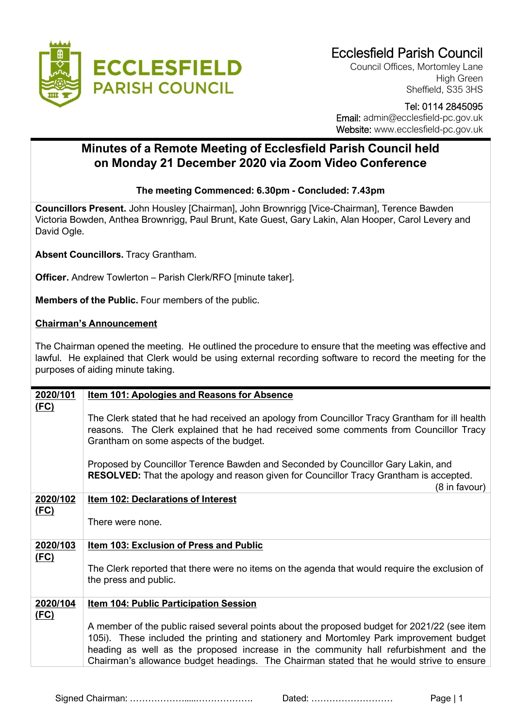

Council Offices, Mortomley Lane High Green Sheffield, S35 3HS

## Tel: 0114 2845095

 Email: admin@ecclesfield-pc.gov.uk Website: www.ecclesfield-pc.gov.uk

## **Minutes of a Remote Meeting of Ecclesfield Parish Council held on Monday 21 December 2020 via Zoom Video Conference**

## **The meeting Commenced: 6.30pm - Concluded: 7.43pm**

**Councillors Present.** John Housley [Chairman], John Brownrigg [Vice-Chairman], Terence Bawden Victoria Bowden, Anthea Brownrigg, Paul Brunt, Kate Guest, Gary Lakin, Alan Hooper, Carol Levery and David Ogle.

**Absent Councillors.** Tracy Grantham.

**Officer.** Andrew Towlerton – Parish Clerk/RFO [minute taker].

**Members of the Public.** Four members of the public.

## **Chairman's Announcement**

The Chairman opened the meeting. He outlined the procedure to ensure that the meeting was effective and lawful. He explained that Clerk would be using external recording software to record the meeting for the purposes of aiding minute taking.

| 2020/101    | <b>Item 101: Apologies and Reasons for Absence</b>                                                                                                                                                                                                                                                                                                                          |  |  |
|-------------|-----------------------------------------------------------------------------------------------------------------------------------------------------------------------------------------------------------------------------------------------------------------------------------------------------------------------------------------------------------------------------|--|--|
| <u>(FC)</u> | The Clerk stated that he had received an apology from Councillor Tracy Grantham for ill health<br>reasons. The Clerk explained that he had received some comments from Councillor Tracy<br>Grantham on some aspects of the budget.                                                                                                                                          |  |  |
|             | Proposed by Councillor Terence Bawden and Seconded by Councillor Gary Lakin, and<br>RESOLVED: That the apology and reason given for Councillor Tracy Grantham is accepted.<br>(8 in favour)                                                                                                                                                                                 |  |  |
| 2020/102    | Item 102: Declarations of Interest                                                                                                                                                                                                                                                                                                                                          |  |  |
| <u>(FC)</u> | There were none.                                                                                                                                                                                                                                                                                                                                                            |  |  |
| 2020/103    | <b>Item 103: Exclusion of Press and Public</b>                                                                                                                                                                                                                                                                                                                              |  |  |
| <u>(FC)</u> | The Clerk reported that there were no items on the agenda that would require the exclusion of<br>the press and public.                                                                                                                                                                                                                                                      |  |  |
| 2020/104    | <b>Item 104: Public Participation Session</b>                                                                                                                                                                                                                                                                                                                               |  |  |
| (FC)        | A member of the public raised several points about the proposed budget for 2021/22 (see item<br>105i). These included the printing and stationery and Mortomley Park improvement budget<br>heading as well as the proposed increase in the community hall refurbishment and the<br>Chairman's allowance budget headings. The Chairman stated that he would strive to ensure |  |  |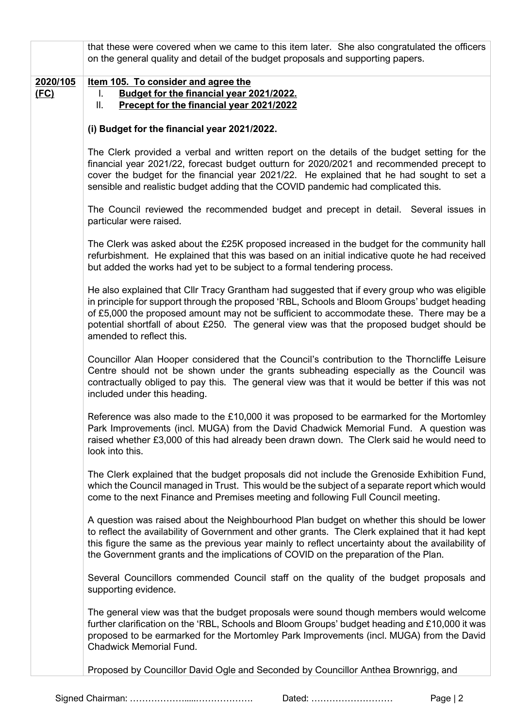|                         | that these were covered when we came to this item later. She also congratulated the officers<br>on the general quality and detail of the budget proposals and supporting papers.                                                                                                                                                                                                                                    |  |  |
|-------------------------|---------------------------------------------------------------------------------------------------------------------------------------------------------------------------------------------------------------------------------------------------------------------------------------------------------------------------------------------------------------------------------------------------------------------|--|--|
| 2020/105<br><u>(FC)</u> | Item 105. To consider and agree the<br>Budget for the financial year 2021/2022.<br>I.<br>Precept for the financial year 2021/2022<br>Ш.                                                                                                                                                                                                                                                                             |  |  |
|                         | (i) Budget for the financial year 2021/2022.                                                                                                                                                                                                                                                                                                                                                                        |  |  |
|                         | The Clerk provided a verbal and written report on the details of the budget setting for the<br>financial year 2021/22, forecast budget outturn for 2020/2021 and recommended precept to<br>cover the budget for the financial year 2021/22. He explained that he had sought to set a<br>sensible and realistic budget adding that the COVID pandemic had complicated this.                                          |  |  |
|                         | The Council reviewed the recommended budget and precept in detail. Several issues in<br>particular were raised.                                                                                                                                                                                                                                                                                                     |  |  |
|                         | The Clerk was asked about the £25K proposed increased in the budget for the community hall<br>refurbishment. He explained that this was based on an initial indicative quote he had received<br>but added the works had yet to be subject to a formal tendering process.                                                                                                                                            |  |  |
|                         | He also explained that Cllr Tracy Grantham had suggested that if every group who was eligible<br>in principle for support through the proposed 'RBL, Schools and Bloom Groups' budget heading<br>of £5,000 the proposed amount may not be sufficient to accommodate these. There may be a<br>potential shortfall of about £250. The general view was that the proposed budget should be<br>amended to reflect this. |  |  |
|                         | Councillor Alan Hooper considered that the Council's contribution to the Thorncliffe Leisure<br>Centre should not be shown under the grants subheading especially as the Council was<br>contractually obliged to pay this. The general view was that it would be better if this was not<br>included under this heading.                                                                                             |  |  |
|                         | Reference was also made to the £10,000 it was proposed to be earmarked for the Mortomley<br>Park Improvements (incl. MUGA) from the David Chadwick Memorial Fund. A question was<br>raised whether £3,000 of this had already been drawn down. The Clerk said he would need to<br>look into this.                                                                                                                   |  |  |
|                         | The Clerk explained that the budget proposals did not include the Grenoside Exhibition Fund,<br>which the Council managed in Trust. This would be the subject of a separate report which would<br>come to the next Finance and Premises meeting and following Full Council meeting.                                                                                                                                 |  |  |
|                         | A question was raised about the Neighbourhood Plan budget on whether this should be lower<br>to reflect the availability of Government and other grants. The Clerk explained that it had kept<br>this figure the same as the previous year mainly to reflect uncertainty about the availability of<br>the Government grants and the implications of COVID on the preparation of the Plan.                           |  |  |
|                         | Several Councillors commended Council staff on the quality of the budget proposals and<br>supporting evidence.                                                                                                                                                                                                                                                                                                      |  |  |
|                         | The general view was that the budget proposals were sound though members would welcome<br>further clarification on the 'RBL, Schools and Bloom Groups' budget heading and £10,000 it was<br>proposed to be earmarked for the Mortomley Park Improvements (incl. MUGA) from the David<br>Chadwick Memorial Fund.                                                                                                     |  |  |
|                         | Proposed by Councillor David Ogle and Seconded by Councillor Anthea Brownrigg, and                                                                                                                                                                                                                                                                                                                                  |  |  |